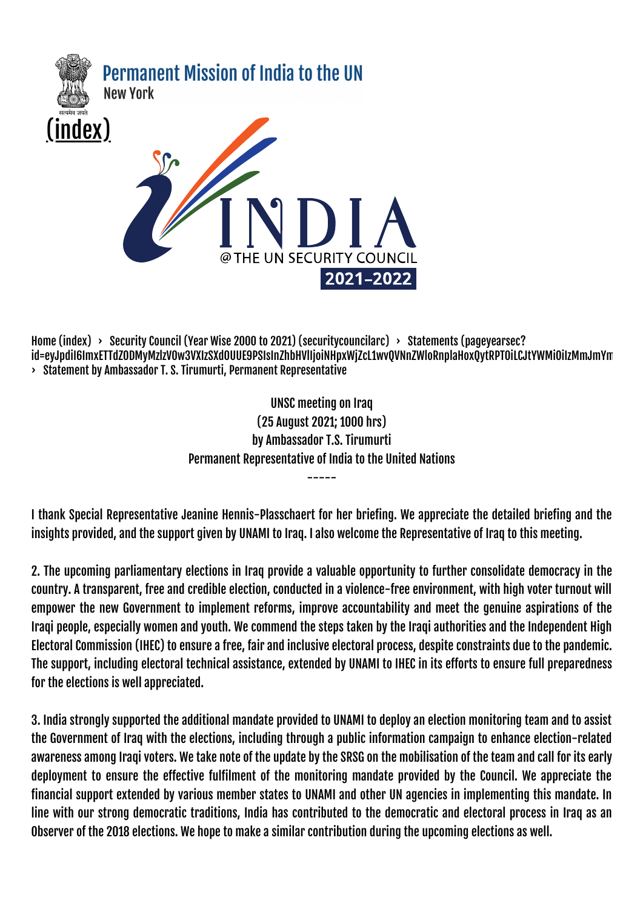

[Home \(index\)](https://pminewyork.gov.in/index) > [Security Council \(Year Wise 2000 to 2021\)](https://pminewyork.gov.in/securitycouncilarc) (security councilarc) > Statements (pageyearsec? [id=eyJpdiI6ImxETTdZODMyMzlzV0w3VXIzSXd0UUE9PSIsInZhbHVlIjoiNHpxWjZcL1wvQVNnZWloRnplaHoxQytRPT0iLCJtYWMiOiIzMmJmYm](https://pminewyork.gov.in/pageyearsec?id=eyJpdiI6ImxETTdZODMyMzlzV0w3VXIzSXd0UUE9PSIsInZhbHVlIjoiNHpxWjZcL1wvQVNnZWloRnplaHoxQytRPT0iLCJtYWMiOiIzMmJmYmM5NGY3NmJlZGU5ZmM3NTA2MGU4Yjg2NmZlYTZkZDI4Y2FjYTUzOTg0NzRjZjQ3YjM1YTk1NGQ3MGE5In0=) › Statement by Ambassador T. S. Tirumurti, Permanent Representative

> UNSC meeting on Iraq (25 August 2021; 1000 hrs) by Ambassador T.S. Tirumurti Permanent Representative of India to the United Nations

> > -----

I thank Special Representative Jeanine Hennis-Plasschaert for her briefing. We appreciate the detailed briefing and the insights provided, and the support given by UNAMI to Iraq. I also welcome the Representative of Iraq to this meeting.

2. The upcoming parliamentary elections in Iraq provide a valuable opportunity to further consolidate democracy in the country. A transparent, free and credible election, conducted in a violence-free environment, with high voter turnout will empower the new Government to implement reforms, improve accountability and meet the genuine aspirations of the Iraqi people, especially women and youth. We commend the steps taken by the Iraqi authorities and the Independent High Electoral Commission (IHEC) to ensure a free, fair and inclusive electoral process, despite constraints due to the pandemic. The support, including electoral technical assistance, extended by UNAMI to IHEC in its efforts to ensure full preparedness for the elections is well appreciated.

3. India strongly supported the additional mandate provided to UNAMI to deploy an election monitoring team and to assist the Government of Iraq with the elections, including through a public information campaign to enhance election-related awareness among Iraqi voters. We take note of the update by the SRSG on the mobilisation of the team and call for its early deployment to ensure the effective fulfilment of the monitoring mandate provided by the Council. We appreciate the financial support extended by various member states to UNAMI and other UN agencies in implementing this mandate. In line with our strong democratic traditions, India has contributed to the democratic and electoral process in Iraq as an Observer of the 2018 elections. We hope to make a similar contribution during the upcoming elections as well.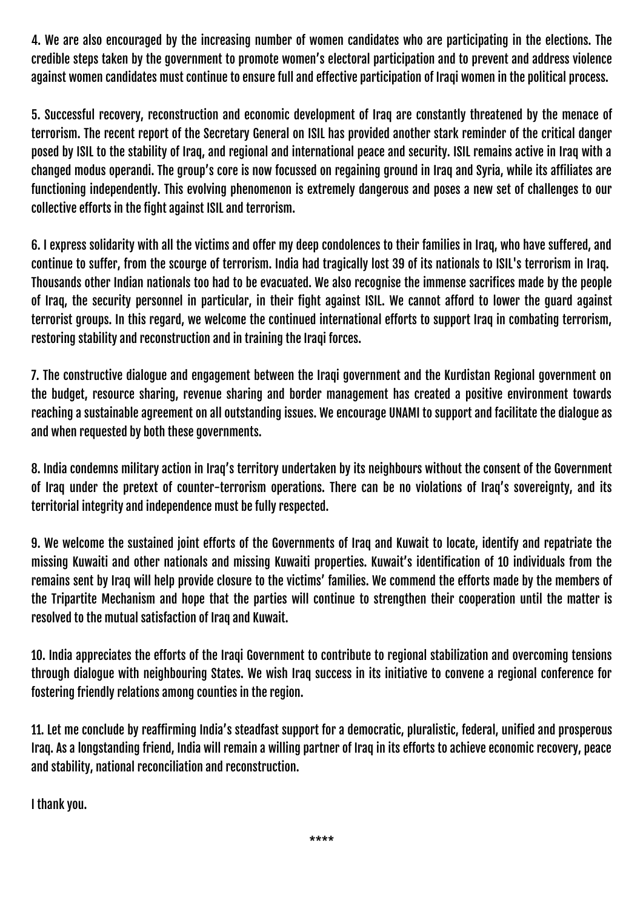4. We are also encouraged by the increasing number of women candidates who are participating in the elections. The credible steps taken by the government to promote women's electoral participation and to prevent and address violence against women candidates must continue to ensure full and effective participation of Iraqi women in the political process.

5. Successful recovery, reconstruction and economic development of Iraq are constantly threatened by the menace of terrorism. The recent report of the Secretary General on ISIL has provided another stark reminder of the critical danger posed by ISIL to the stability of Iraq, and regional and international peace and security. ISIL remains active in Iraq with a changed modus operandi. The group's core is now focussed on regaining ground in Iraq and Syria, while its affiliates are functioning independently. This evolving phenomenon is extremely dangerous and poses a new set of challenges to our collective efforts in the fight against ISIL and terrorism.

6. I express solidarity with all the victims and offer my deep condolences to their families in Iraq, who have suffered, and continue to suffer, from the scourge of terrorism. India had tragically lost 39 of its nationals to ISIL's terrorism in Iraq. Thousands other Indian nationals too had to be evacuated. We also recognise the immense sacrifices made by the people of Iraq, the security personnel in particular, in their fight against ISIL. We cannot afford to lower the guard against terrorist groups. In this regard, we welcome the continued international efforts to support Iraq in combating terrorism, restoring stability and reconstruction and in training the Iraqi forces.

7. The constructive dialogue and engagement between the Iraqi government and the Kurdistan Regional government on the budget, resource sharing, revenue sharing and border management has created a positive environment towards reaching a sustainable agreement on all outstanding issues. We encourage UNAMI to support and facilitate the dialogue as and when requested by both these governments.

8. India condemns military action in Iraq's territory undertaken by its neighbours without the consent of the Government of Iraq under the pretext of counter-terrorism operations. There can be no violations of Iraq's sovereignty, and its territorial integrity and independence must be fully respected.

9. We welcome the sustained joint efforts of the Governments of Iraq and Kuwait to locate, identify and repatriate the missing Kuwaiti and other nationals and missing Kuwaiti properties. Kuwait's identification of 10 individuals from the remains sent by Iraq will help provide closure to the victims' families. We commend the efforts made by the members of the Tripartite Mechanism and hope that the parties will continue to strengthen their cooperation until the matter is resolved to the mutual satisfaction of Iraq and Kuwait.

10. India appreciates the efforts of the Iraqi Government to contribute to regional stabilization and overcoming tensions through dialogue with neighbouring States. We wish Iraq success in its initiative to convene a regional conference for fostering friendly relations among counties in the region.

11. Let me conclude by reaffirming India's steadfast support for a democratic, pluralistic, federal, unified and prosperous Iraq. As a longstanding friend, India will remain a willing partner of Iraq in its efforts to achieve economic recovery, peace and stability, national reconciliation and reconstruction.

I thank you.